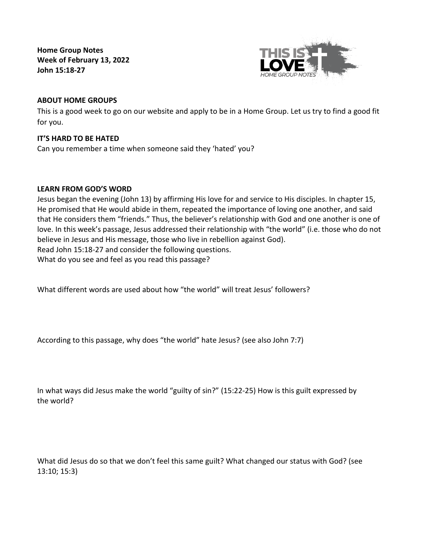**Home Group Notes Week of February 13, 2022 John 15:18-27**



# **ABOUT HOME GROUPS**

This is a good week to go on our website and apply to be in a Home Group. Let us try to find a good fit for you.

### **IT'S HARD TO BE HATED**

Can you remember a time when someone said they 'hated' you?

### **LEARN FROM GOD'S WORD**

Jesus began the evening (John 13) by affirming His love for and service to His disciples. In chapter 15, He promised that He would abide in them, repeated the importance of loving one another, and said that He considers them "friends." Thus, the believer's relationship with God and one another is one of love. In this week's passage, Jesus addressed their relationship with "the world" (i.e. those who do not believe in Jesus and His message, those who live in rebellion against God). Read John 15:18-27 and consider the following questions. What do you see and feel as you read this passage?

What different words are used about how "the world" will treat Jesus' followers?

According to this passage, why does "the world" hate Jesus? (see also John 7:7)

In what ways did Jesus make the world "guilty of sin?" (15:22-25) How is this guilt expressed by the world?

What did Jesus do so that we don't feel this same guilt? What changed our status with God? (see 13:10; 15:3)